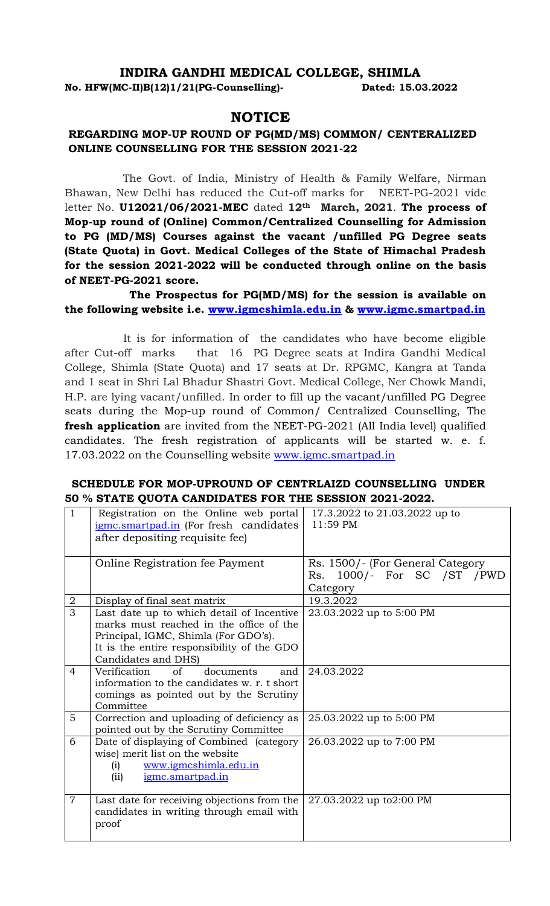## **INDIRA GANDHI MEDICAL COLLEGE, SHIMLA**

**No. HFW(MC-II)B(12)1/21(PG-Counselling)- Dated: 15.03.2022**

## **NOTICE**

## **REGARDING MOP-UP ROUND OF PG(MD/MS) COMMON/ CENTERALIZED ONLINE COUNSELLING FOR THE SESSION 2021-22**

The Govt. of India, Ministry of Health & Family Welfare, Nirman Bhawan, New Delhi has reduced the Cut-off marks for NEET-PG-2021 vide letter No. **U12021/06/2021-MEC** dated **12th March, 2021**. **The process of Mop-up round of (Online) Common/Centralized Counselling for Admission to PG (MD/MS) Courses against the vacant /unfilled PG Degree seats (State Quota) in Govt. Medical Colleges of the State of Himachal Pradesh for the session 2021-2022 will be conducted through online on the basis of NEET-PG-2021 score.**

**The Prospectus for PG(MD/MS) for the session is available on the following website i.e. [www.igmcshimla.edu.in](http://www.igmcshimla.edu.in/) & [www.igmc.smartpad.in](http://www.igmc.smartpad.in/)**

It is for information of the candidates who have become eligible after Cut-off marks that 16 PG Degree seats at Indira Gandhi Medical College, Shimla (State Quota) and 17 seats at Dr. RPGMC, Kangra at Tanda and 1 seat in Shri Lal Bhadur Shastri Govt. Medical College, Ner Chowk Mandi, H.P. are lying vacant/unfilled. In order to fill up the vacant/unfilled PG Degree seats during the Mop-up round of Common/ Centralized Counselling, The **fresh application** are invited from the NEET-PG-2021 (All India level) qualified candidates. The fresh registration of applicants will be started w. e. f. 17.03.2022 on the Counselling website [www.igmc.smartpad.in](http://www.igmc.smartpad.in/)

## **SCHEDULE FOR MOP-UPROUND OF CENTRLAIZD COUNSELLING UNDER 50 % STATE QUOTA CANDIDATES FOR THE SESSION 2021-2022.**

| 1              | Registration on the Online web portal               | 17.3.2022 to 21.03.2022 up to     |
|----------------|-----------------------------------------------------|-----------------------------------|
|                | igmc.smartpad.in (For fresh candidates              | $11:59$ PM                        |
|                | after depositing requisite fee)                     |                                   |
|                |                                                     |                                   |
|                | Online Registration fee Payment                     | Rs. 1500/- (For General Category) |
|                |                                                     | Rs. 1000/- For SC /ST /PWD        |
|                |                                                     | Category                          |
| 2              | Display of final seat matrix                        | 19.3.2022                         |
| $\overline{3}$ | Last date up to which detail of Incentive           | 23.03.2022 up to 5:00 PM          |
|                | marks must reached in the office of the             |                                   |
|                | Principal, IGMC, Shimla (For GDO's).                |                                   |
|                | It is the entire responsibility of the GDO          |                                   |
|                | Candidates and DHS)                                 |                                   |
| 4              | Verification<br>of<br>documents<br>and              | 24.03.2022                        |
|                | information to the candidates w. r. t short         |                                   |
|                | comings as pointed out by the Scrutiny<br>Committee |                                   |
| 5              | Correction and uploading of deficiency as           | 25.03.2022 up to 5:00 PM          |
|                | pointed out by the Scrutiny Committee               |                                   |
| 6              | Date of displaying of Combined (category            | 26.03.2022 up to 7:00 PM          |
|                | wise) merit list on the website                     |                                   |
|                | www.igmcshimla.edu.in<br>(i)                        |                                   |
|                | igmc.smartpad.in<br>(ii)                            |                                   |
|                |                                                     |                                   |
| $\overline{7}$ | Last date for receiving objections from the         | 27.03.2022 up to2:00 PM           |
|                | candidates in writing through email with            |                                   |
|                | proof                                               |                                   |
|                |                                                     |                                   |